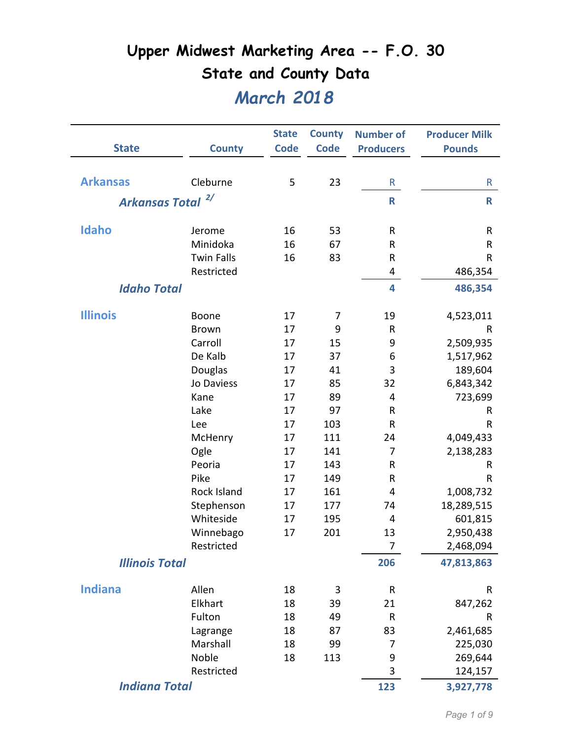|                       |                   | <b>State</b> | <b>County</b> | <b>Number of</b> | <b>Producer Milk</b> |
|-----------------------|-------------------|--------------|---------------|------------------|----------------------|
| <b>State</b>          | <b>County</b>     | <b>Code</b>  | <b>Code</b>   | <b>Producers</b> | <b>Pounds</b>        |
|                       |                   |              |               |                  |                      |
| <b>Arkansas</b>       | Cleburne          | 5            | 23            | R                | R                    |
| <b>Arkansas Total</b> | 2/                |              |               | $\mathsf{R}$     | $\mathsf{R}$         |
|                       |                   |              |               |                  |                      |
| Idaho                 | Jerome            | 16           | 53            | $\sf R$          | R                    |
|                       | Minidoka          | 16           | 67            | $\sf R$          | R                    |
|                       | <b>Twin Falls</b> | 16           | 83            | ${\sf R}$        | ${\sf R}$            |
|                       | Restricted        |              |               | 4                | 486,354              |
| <b>Idaho Total</b>    |                   |              |               | 4                | 486,354              |
|                       |                   |              |               |                  |                      |
| <b>Illinois</b>       | Boone             | 17           | 7             | 19               | 4,523,011            |
|                       | <b>Brown</b>      | 17           | 9             | $\mathsf R$      | R                    |
|                       | Carroll           | 17           | 15            | 9                | 2,509,935            |
|                       | De Kalb           | 17           | 37            | 6                | 1,517,962            |
|                       | Douglas           | 17           | 41            | 3                | 189,604              |
|                       | Jo Daviess        | 17           | 85            | 32               | 6,843,342            |
|                       | Kane              | 17           | 89            | 4                | 723,699              |
|                       | Lake              | 17           | 97            | ${\sf R}$        | R                    |
|                       | Lee               | 17           | 103           | $\mathsf R$      | R                    |
|                       | McHenry           | 17           | 111           | 24               | 4,049,433            |
|                       | Ogle              | 17           | 141           | 7                | 2,138,283            |
|                       | Peoria            | 17           | 143           | ${\sf R}$        | R                    |
|                       | Pike              | 17           | 149           | R                | R                    |
|                       | Rock Island       | 17           | 161           | 4                | 1,008,732            |
|                       | Stephenson        | 17           | 177           | 74               | 18,289,515           |
|                       | Whiteside         | 17           | 195           | 4                | 601,815              |
|                       | Winnebago         | 17           | 201           | 13               | 2,950,438            |
|                       | Restricted        |              |               | 7                | 2,468,094            |
| <b>Illinois Total</b> |                   |              |               | 206              | 47,813,863           |
| <b>Indiana</b>        | Allen             | 18           | 3             | R                | $\sf R$              |
|                       | Elkhart           | 18           | 39            | 21               | 847,262              |
|                       | Fulton            | 18           | 49            | $\mathsf R$      | R                    |
|                       | Lagrange          | 18           | 87            | 83               | 2,461,685            |
|                       | Marshall          | 18           | 99            | 7                | 225,030              |
|                       | Noble             | 18           | 113           | 9                | 269,644              |
|                       | Restricted        |              |               | 3                | 124,157              |
| <b>Indiana Total</b>  |                   |              |               | 123              | 3,927,778            |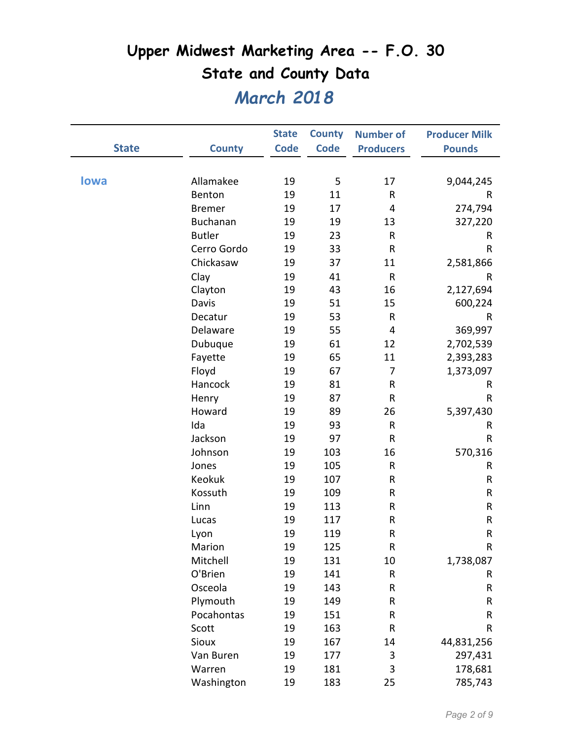|              |                 | <b>State</b> | <b>County</b> | <b>Number of</b> | <b>Producer Milk</b> |
|--------------|-----------------|--------------|---------------|------------------|----------------------|
| <b>State</b> | <b>County</b>   | <b>Code</b>  | <b>Code</b>   | <b>Producers</b> | <b>Pounds</b>        |
|              |                 |              |               |                  |                      |
| <b>lowa</b>  | Allamakee       | 19           | 5             | 17               | 9,044,245            |
|              | Benton          | 19           | 11            | ${\sf R}$        | R                    |
|              | <b>Bremer</b>   | 19           | 17            | 4                | 274,794              |
|              | <b>Buchanan</b> | 19           | 19            | 13               | 327,220              |
|              | <b>Butler</b>   | 19           | 23            | $\sf R$          | R                    |
|              | Cerro Gordo     | 19           | 33            | R                | R                    |
|              | Chickasaw       | 19           | 37            | 11               | 2,581,866            |
|              | Clay            | 19           | 41            | ${\sf R}$        | R                    |
|              | Clayton         | 19           | 43            | 16               | 2,127,694            |
|              | Davis           | 19           | 51            | 15               | 600,224              |
|              | Decatur         | 19           | 53            | ${\sf R}$        | R                    |
|              | Delaware        | 19           | 55            | 4                | 369,997              |
|              | Dubuque         | 19           | 61            | 12               | 2,702,539            |
|              | Fayette         | 19           | 65            | 11               | 2,393,283            |
|              | Floyd           | 19           | 67            | $\overline{7}$   | 1,373,097            |
|              | Hancock         | 19           | 81            | ${\sf R}$        | R                    |
|              | Henry           | 19           | 87            | ${\sf R}$        | R                    |
|              | Howard          | 19           | 89            | 26               | 5,397,430            |
|              | Ida             | 19           | 93            | ${\sf R}$        | R                    |
|              | Jackson         | 19           | 97            | ${\sf R}$        | R                    |
|              | Johnson         | 19           | 103           | 16               | 570,316              |
|              | Jones           | 19           | 105           | ${\sf R}$        | R                    |
|              | Keokuk          | 19           | 107           | R                | R                    |
|              | Kossuth         | 19           | 109           | R                | R                    |
|              | Linn            | 19           | 113           | ${\sf R}$        | ${\sf R}$            |
|              | Lucas           | 19           | 117           | R                | ${\sf R}$            |
|              | Lyon            | 19           | 119           | R                | R                    |
|              | Marion          | 19           | 125           | R                | R                    |
|              | Mitchell        | 19           | 131           | 10               | 1,738,087            |
|              | O'Brien         | 19           | 141           | R                | R                    |
|              | Osceola         | 19           | 143           | R                | R                    |
|              | Plymouth        | 19           | 149           | R                | R                    |
|              | Pocahontas      | 19           | 151           | R                | R                    |
|              | Scott           | 19           | 163           | ${\sf R}$        | R                    |
|              | Sioux           | 19           | 167           | 14               | 44,831,256           |
|              | Van Buren       | 19           | 177           | 3                | 297,431              |
|              | Warren          | 19           | 181           | 3                | 178,681              |
|              | Washington      | 19           | 183           | 25               | 785,743              |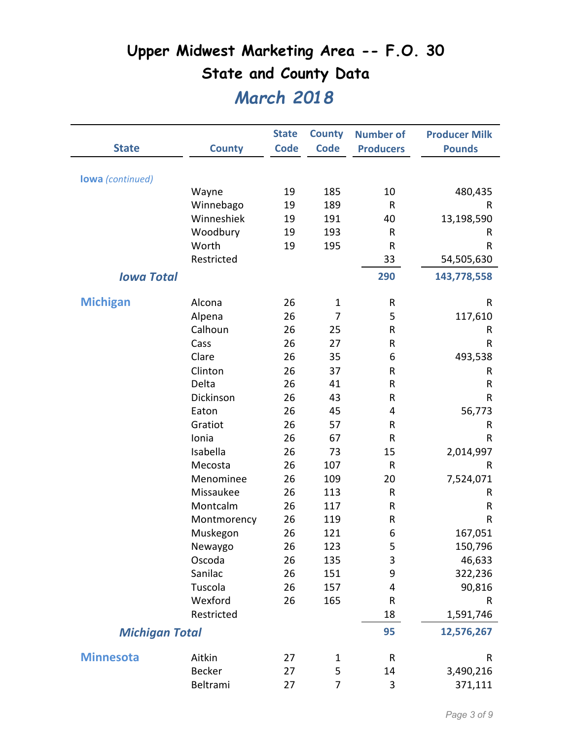|                         |               | <b>State</b> | <b>County</b>  | <b>Number of</b> | <b>Producer Milk</b> |
|-------------------------|---------------|--------------|----------------|------------------|----------------------|
| <b>State</b>            | <b>County</b> | Code         | <b>Code</b>    | <b>Producers</b> | <b>Pounds</b>        |
| <b>lowa</b> (continued) |               |              |                |                  |                      |
|                         | Wayne         | 19           | 185            | 10               | 480,435              |
|                         | Winnebago     | 19           | 189            | $\mathsf{R}$     | R                    |
|                         | Winneshiek    | 19           | 191            | 40               | 13,198,590           |
|                         | Woodbury      | 19           | 193            | $\mathsf{R}$     | R                    |
|                         | Worth         | 19           | 195            | $\mathsf R$      | $\mathsf R$          |
|                         | Restricted    |              |                | 33               | 54,505,630           |
| <b>Iowa Total</b>       |               |              |                | 290              | 143,778,558          |
|                         |               |              |                |                  |                      |
| <b>Michigan</b>         | Alcona        | 26           | $\mathbf 1$    | ${\sf R}$        | R                    |
|                         | Alpena        | 26           | $\overline{7}$ | 5                | 117,610              |
|                         | Calhoun       | 26           | 25             | ${\sf R}$        | R                    |
|                         | Cass          | 26           | 27             | ${\sf R}$        | R                    |
|                         | Clare         | 26           | 35             | 6                | 493,538              |
|                         | Clinton       | 26           | 37             | ${\sf R}$        | R                    |
|                         | Delta         | 26           | 41             | R                | $\mathsf R$          |
|                         | Dickinson     | 26           | 43             | R                | ${\sf R}$            |
|                         | Eaton         | 26           | 45             | 4                | 56,773               |
|                         | Gratiot       | 26           | 57             | R                | R                    |
|                         | Ionia         | 26           | 67             | $\mathsf R$      | R                    |
|                         | Isabella      | 26           | 73             | 15               | 2,014,997            |
|                         | Mecosta       | 26           | 107            | ${\sf R}$        | R                    |
|                         | Menominee     | 26           | 109            | 20               | 7,524,071            |
|                         | Missaukee     | 26           | 113            | ${\sf R}$        | R                    |
|                         | Montcalm      | 26           | 117            | $\mathsf R$      | R                    |
|                         | Montmorency   | 26           | 119            | R                | $\mathsf R$          |
|                         | Muskegon      | 26           | 121            | 6                | 167,051              |
|                         | Newaygo       | 26           | 123            | 5                | 150,796              |
|                         | Oscoda        | 26           | 135            | 3                | 46,633               |
|                         | Sanilac       | 26           | 151            | 9                | 322,236              |
|                         | Tuscola       | 26           | 157            | 4                | 90,816               |
|                         | Wexford       | 26           | 165            | ${\sf R}$        | R                    |
|                         | Restricted    |              |                | 18               | 1,591,746            |
| <b>Michigan Total</b>   |               |              |                | 95               | 12,576,267           |
| <b>Minnesota</b>        | Aitkin        | 27           | $\mathbf 1$    | $\mathsf R$      | R                    |
|                         | <b>Becker</b> | 27           | 5              | 14               | 3,490,216            |
|                         | Beltrami      | 27           | 7              | $\mathsf 3$      | 371,111              |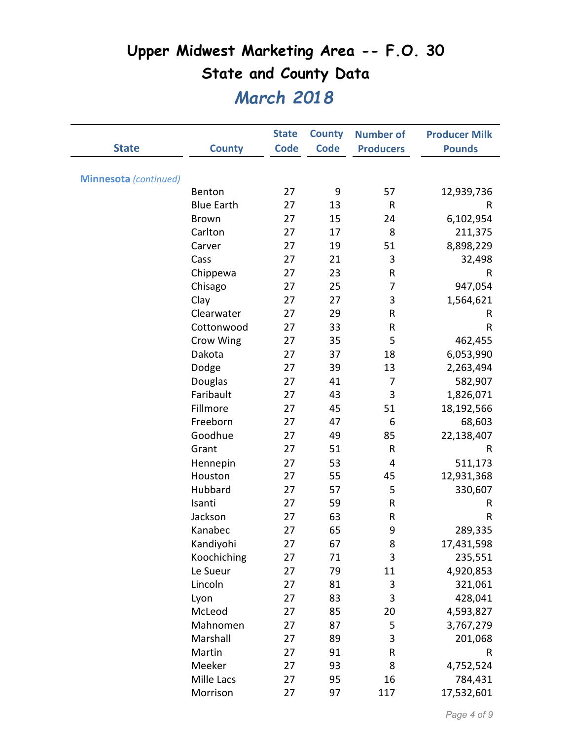|                              |                   | <b>State</b> | <b>County</b> | <b>Number of</b> | <b>Producer Milk</b> |
|------------------------------|-------------------|--------------|---------------|------------------|----------------------|
| <b>State</b>                 | <b>County</b>     | <b>Code</b>  | <b>Code</b>   | <b>Producers</b> | <b>Pounds</b>        |
|                              |                   |              |               |                  |                      |
| <b>Minnesota</b> (continued) |                   |              |               |                  |                      |
|                              | Benton            | 27           | 9             | 57               | 12,939,736           |
|                              | <b>Blue Earth</b> | 27           | 13            | ${\sf R}$        | R                    |
|                              | <b>Brown</b>      | 27           | 15            | 24               | 6,102,954            |
|                              | Carlton           | 27           | 17            | 8                | 211,375              |
|                              | Carver            | 27           | 19            | 51               | 8,898,229            |
|                              | Cass              | 27           | 21            | 3                | 32,498               |
|                              | Chippewa          | 27           | 23            | ${\sf R}$        | R                    |
|                              | Chisago           | 27           | 25            | 7                | 947,054              |
|                              | Clay              | 27           | 27            | 3                | 1,564,621            |
|                              | Clearwater        | 27           | 29            | R                | R                    |
|                              | Cottonwood        | 27           | 33            | ${\sf R}$        | R                    |
|                              | Crow Wing         | 27           | 35            | 5                | 462,455              |
|                              | Dakota            | 27           | 37            | 18               | 6,053,990            |
|                              | Dodge             | 27           | 39            | 13               | 2,263,494            |
|                              | Douglas           | 27           | 41            | 7                | 582,907              |
|                              | Faribault         | 27           | 43            | 3                | 1,826,071            |
|                              | Fillmore          | 27           | 45            | 51               | 18,192,566           |
|                              | Freeborn          | 27           | 47            | 6                | 68,603               |
|                              | Goodhue           | 27           | 49            | 85               | 22,138,407           |
|                              | Grant             | 27           | 51            | ${\sf R}$        | R                    |
|                              | Hennepin          | 27           | 53            | 4                | 511,173              |
|                              | Houston           | 27           | 55            | 45               | 12,931,368           |
|                              | Hubbard           | 27           | 57            | 5                | 330,607              |
|                              | Isanti            | 27           | 59            | R                | R                    |
|                              | Jackson           | 27           | 63            | ${\sf R}$        | $\mathsf R$          |
|                              | Kanabec           | 27           | 65            | 9                | 289,335              |
|                              | Kandiyohi         | 27           | 67            | 8                | 17,431,598           |
|                              | Koochiching       | 27           | 71            | 3                | 235,551              |
|                              | Le Sueur          | 27           | 79            | 11               | 4,920,853            |
|                              | Lincoln           | 27           | 81            | 3                | 321,061              |
|                              | Lyon              | 27           | 83            | 3                | 428,041              |
|                              | McLeod            | 27           | 85            | 20               | 4,593,827            |
|                              | Mahnomen          | 27           | 87            | 5                | 3,767,279            |
|                              | Marshall          | 27           | 89            | 3                | 201,068              |
|                              | Martin            | 27           | 91            | ${\sf R}$        | R                    |
|                              | Meeker            | 27           | 93            | 8                | 4,752,524            |
|                              | Mille Lacs        | 27           | 95            | 16               | 784,431              |
|                              | Morrison          | 27           | 97            | 117              | 17,532,601           |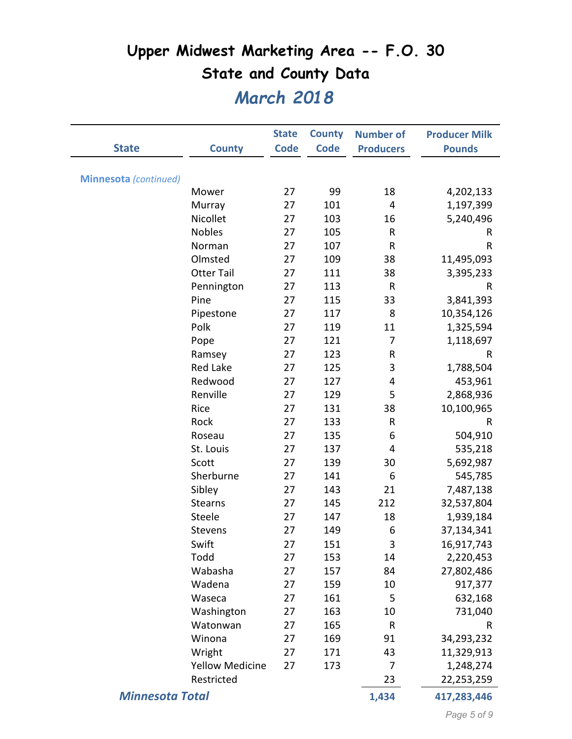| <b>State</b>                 | <b>County</b>          | <b>State</b><br><b>Code</b> | <b>County</b><br><b>Code</b> | <b>Number of</b><br><b>Producers</b> | <b>Producer Milk</b><br><b>Pounds</b> |
|------------------------------|------------------------|-----------------------------|------------------------------|--------------------------------------|---------------------------------------|
|                              |                        |                             |                              |                                      |                                       |
| <b>Minnesota</b> (continued) |                        |                             |                              |                                      |                                       |
|                              | Mower                  | 27                          | 99                           | 18                                   | 4,202,133                             |
|                              | Murray                 | 27                          | 101                          | 4                                    | 1,197,399                             |
|                              | Nicollet               | 27                          | 103                          | 16                                   | 5,240,496                             |
|                              | <b>Nobles</b>          | 27                          | 105                          | R                                    | R                                     |
|                              | Norman                 | 27                          | 107                          | R                                    | R                                     |
|                              | Olmsted                | 27                          | 109                          | 38                                   | 11,495,093                            |
|                              | <b>Otter Tail</b>      | 27                          | 111                          | 38                                   | 3,395,233                             |
|                              | Pennington             | 27                          | 113                          | R                                    | R                                     |
|                              | Pine                   | 27                          | 115                          | 33                                   | 3,841,393                             |
|                              | Pipestone              | 27                          | 117                          | 8                                    | 10,354,126                            |
|                              | Polk                   | 27                          | 119                          | 11                                   | 1,325,594                             |
|                              | Pope                   | 27                          | 121                          | 7                                    | 1,118,697                             |
|                              | Ramsey                 | 27                          | 123                          | R                                    | R                                     |
|                              | <b>Red Lake</b>        | 27                          | 125                          | 3                                    | 1,788,504                             |
|                              | Redwood                | 27                          | 127                          | 4                                    | 453,961                               |
|                              | Renville               | 27                          | 129                          | 5                                    | 2,868,936                             |
|                              | Rice                   | 27                          | 131                          | 38                                   | 10,100,965                            |
|                              | Rock                   | 27                          | 133                          | R                                    | $\mathsf R$                           |
|                              | Roseau                 | 27                          | 135                          | 6                                    | 504,910                               |
|                              | St. Louis              | 27                          | 137                          | 4                                    | 535,218                               |
|                              | Scott                  | 27                          | 139                          | 30                                   | 5,692,987                             |
|                              | Sherburne              | 27                          | 141                          | 6                                    | 545,785                               |
|                              | Sibley                 | 27                          | 143                          | 21                                   | 7,487,138                             |
|                              | <b>Stearns</b>         | 27                          | 145                          | 212                                  | 32,537,804                            |
|                              | Steele                 | 27                          | 147                          | 18                                   | 1,939,184                             |
|                              | <b>Stevens</b>         | 27                          | 149                          | 6                                    | 37,134,341                            |
|                              | Swift                  | 27                          | 151                          | 3                                    | 16,917,743                            |
|                              | Todd                   | 27                          | 153                          | 14                                   | 2,220,453                             |
|                              | Wabasha                | 27                          | 157                          | 84                                   | 27,802,486                            |
|                              | Wadena                 | 27                          | 159                          | 10                                   | 917,377                               |
|                              | Waseca                 | 27                          | 161                          | 5                                    | 632,168                               |
|                              | Washington             | 27                          | 163                          | 10                                   | 731,040                               |
|                              | Watonwan               | 27                          | 165                          | R                                    | R                                     |
|                              | Winona                 | 27                          | 169                          | 91                                   | 34,293,232                            |
|                              | Wright                 | 27                          | 171                          | 43                                   | 11,329,913                            |
|                              | <b>Yellow Medicine</b> | 27                          | 173                          | 7                                    | 1,248,274                             |
|                              | Restricted             |                             |                              | 23                                   | 22,253,259                            |
| <b>Minnesota Total</b>       |                        |                             |                              | 1,434                                | 417,283,446                           |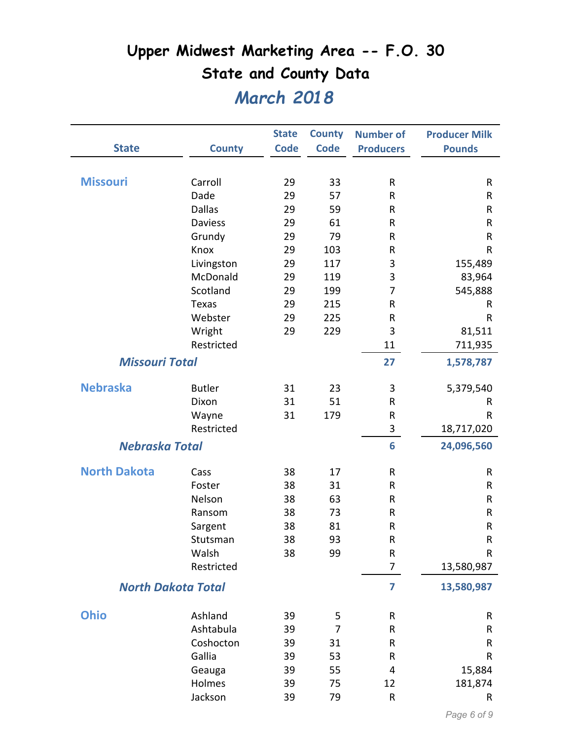|                       |                           | <b>State</b> | <b>County</b> | <b>Number of</b> | <b>Producer Milk</b> |
|-----------------------|---------------------------|--------------|---------------|------------------|----------------------|
| <b>State</b>          | <b>County</b>             | <b>Code</b>  | <b>Code</b>   | <b>Producers</b> | <b>Pounds</b>        |
| <b>Missouri</b>       | Carroll                   | 29           | 33            | ${\sf R}$        | ${\sf R}$            |
|                       | Dade                      | 29           | 57            | $\sf R$          | R                    |
|                       | <b>Dallas</b>             | 29           | 59            | $\mathsf R$      | $\mathsf R$          |
|                       | <b>Daviess</b>            | 29           | 61            | $\mathsf R$      | $\mathsf R$          |
|                       | Grundy                    | 29           | 79            | ${\sf R}$        | R                    |
|                       | Knox                      | 29           | 103           | ${\sf R}$        | R                    |
|                       | Livingston                | 29           | 117           | 3                | 155,489              |
|                       | McDonald                  | 29           | 119           | 3                | 83,964               |
|                       | Scotland                  | 29           | 199           | 7                | 545,888              |
|                       | <b>Texas</b>              | 29           | 215           | ${\sf R}$        | R                    |
|                       | Webster                   | 29           | 225           | $\mathsf R$      | R                    |
|                       | Wright                    | 29           | 229           | 3                | 81,511               |
|                       | Restricted                |              |               | 11               | 711,935              |
| <b>Missouri Total</b> |                           |              |               | 27               | 1,578,787            |
| <b>Nebraska</b>       | <b>Butler</b>             | 31           | 23            | 3                | 5,379,540            |
|                       | Dixon                     | 31           | 51            | $\mathsf R$      | R                    |
|                       | Wayne                     | 31           | 179           | $\mathsf R$      | R                    |
|                       | Restricted                |              |               | 3                | 18,717,020           |
| <b>Nebraska Total</b> |                           |              |               | 6                | 24,096,560           |
| <b>North Dakota</b>   | Cass                      | 38           | 17            | ${\sf R}$        | R                    |
|                       | Foster                    | 38           | 31            | ${\sf R}$        | R                    |
|                       | Nelson                    | 38           | 63            | $\mathsf R$      | R                    |
|                       | Ransom                    | 38           | 73            | $\mathsf R$      | R                    |
|                       | Sargent                   | 38           | 81            | ${\sf R}$        | ${\sf R}$            |
|                       | Stutsman                  | 38           | 93            | ${\sf R}$        | ${\sf R}$            |
|                       | Walsh                     | 38           | 99            | ${\sf R}$        | $\mathsf R$          |
|                       | Restricted                |              |               | 7                | 13,580,987           |
|                       | <b>North Dakota Total</b> |              |               | 7                | 13,580,987           |
| <b>Ohio</b>           | Ashland                   | 39           | 5             | ${\sf R}$        | R                    |
|                       | Ashtabula                 | 39           | 7             | ${\sf R}$        | $\mathsf R$          |
|                       | Coshocton                 | 39           | 31            | R                | $\mathsf R$          |
|                       | Gallia                    | 39           | 53            | ${\sf R}$        | R                    |
|                       | Geauga                    | 39           | 55            | 4                | 15,884               |
|                       | Holmes                    | 39           | 75            | 12               | 181,874              |
|                       | Jackson                   | 39           | 79            | $\mathsf R$      | R                    |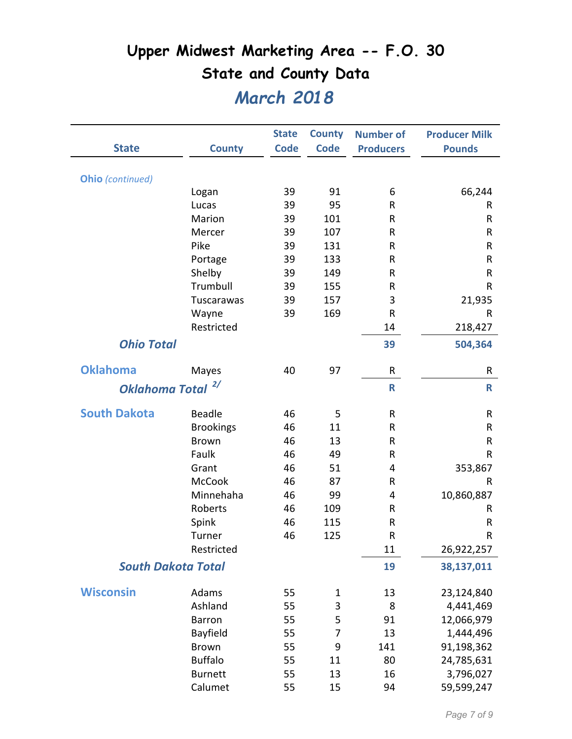|                           |                  | <b>State</b> | <b>County</b>  | <b>Number of</b> | <b>Producer Milk</b> |
|---------------------------|------------------|--------------|----------------|------------------|----------------------|
| <b>State</b>              | <b>County</b>    | <b>Code</b>  | <b>Code</b>    | <b>Producers</b> | <b>Pounds</b>        |
| <b>Ohio</b> (continued)   |                  |              |                |                  |                      |
|                           | Logan            | 39           | 91             | 6                | 66,244               |
|                           | Lucas            | 39           | 95             | R                | R                    |
|                           | Marion           | 39           | 101            | R                | R                    |
|                           | Mercer           | 39           | 107            | R                | R                    |
|                           | Pike             | 39           | 131            | R                | R                    |
|                           | Portage          | 39           | 133            | R                | R                    |
|                           | Shelby           | 39           | 149            | R                | R                    |
|                           | Trumbull         | 39           | 155            | R                | R                    |
|                           | Tuscarawas       | 39           | 157            | 3                | 21,935               |
|                           | Wayne            | 39           | 169            | $\sf R$          | R                    |
|                           | Restricted       |              |                | 14               | 218,427              |
| <b>Ohio Total</b>         |                  |              |                | 39               | 504,364              |
| <b>Oklahoma</b>           | Mayes            | 40           | 97             | $\mathsf{R}$     | R                    |
| <b>Oklahoma Total</b>     | 2/               |              |                | R                | $\mathbf R$          |
|                           |                  |              |                |                  |                      |
| <b>South Dakota</b>       | <b>Beadle</b>    | 46           | 5              | R                | R                    |
|                           | <b>Brookings</b> | 46           | 11             | R                | R                    |
|                           | <b>Brown</b>     | 46           | 13             | R                | R                    |
|                           | Faulk            | 46           | 49             | R                | $\mathsf R$          |
|                           | Grant            | 46           | 51             | 4                | 353,867              |
|                           | <b>McCook</b>    | 46           | 87             | R                | R                    |
|                           | Minnehaha        | 46           | 99             | 4                | 10,860,887           |
|                           | Roberts          | 46           | 109            | R                | R                    |
|                           | Spink            | 46           | 115            | ${\sf R}$        | R                    |
|                           | Turner           | 46           | 125            | $\sf R$          | R                    |
|                           | Restricted       |              |                | 11               | 26,922,257           |
| <b>South Dakota Total</b> |                  |              |                | 19               | 38,137,011           |
| <b>Wisconsin</b>          | Adams            | 55           | 1              | 13               | 23,124,840           |
|                           | Ashland          | 55           | 3              | 8                | 4,441,469            |
|                           | <b>Barron</b>    | 55           | 5              | 91               | 12,066,979           |
|                           | Bayfield         | 55           | $\overline{7}$ | 13               | 1,444,496            |
|                           | <b>Brown</b>     | 55           | 9              | 141              | 91,198,362           |
|                           | <b>Buffalo</b>   | 55           | 11             | 80               | 24,785,631           |
|                           | <b>Burnett</b>   | 55           | 13             | 16               | 3,796,027            |
|                           | Calumet          | 55           | 15             | 94               | 59,599,247           |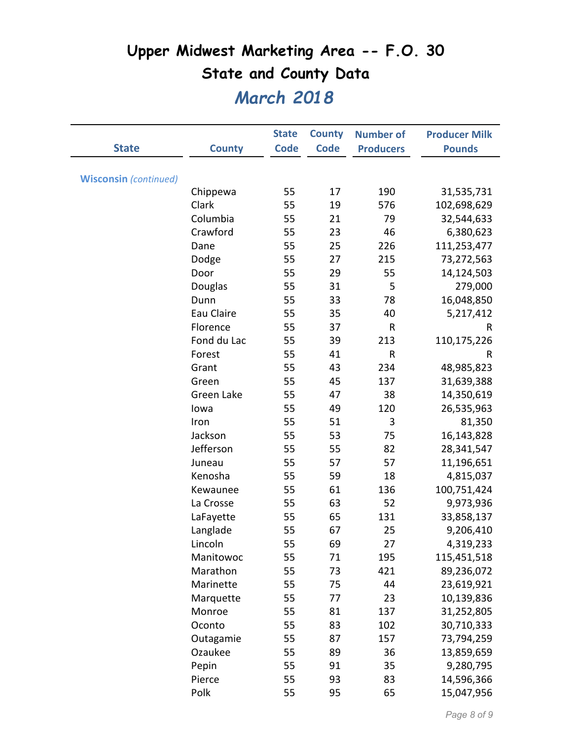|                              |               | <b>State</b> | <b>County</b> | <b>Number of</b> | <b>Producer Milk</b> |
|------------------------------|---------------|--------------|---------------|------------------|----------------------|
| <b>State</b>                 | <b>County</b> | <b>Code</b>  | <b>Code</b>   | <b>Producers</b> | <b>Pounds</b>        |
|                              |               |              |               |                  |                      |
| <b>Wisconsin</b> (continued) |               |              |               |                  |                      |
|                              | Chippewa      | 55           | 17            | 190              | 31,535,731           |
|                              | Clark         | 55           | 19            | 576              | 102,698,629          |
|                              | Columbia      | 55           | 21            | 79               | 32,544,633           |
|                              | Crawford      | 55           | 23            | 46               | 6,380,623            |
|                              | Dane          | 55           | 25            | 226              | 111,253,477          |
|                              | Dodge         | 55           | 27            | 215              | 73,272,563           |
|                              | Door          | 55           | 29            | 55               | 14,124,503           |
|                              | Douglas       | 55           | 31            | 5                | 279,000              |
|                              | Dunn          | 55           | 33            | 78               | 16,048,850           |
|                              | Eau Claire    | 55           | 35            | 40               | 5,217,412            |
|                              | Florence      | 55           | 37            | $\mathsf R$      | $\mathsf R$          |
|                              | Fond du Lac   | 55           | 39            | 213              | 110,175,226          |
|                              | Forest        | 55           | 41            | R                | R                    |
|                              | Grant         | 55           | 43            | 234              | 48,985,823           |
|                              | Green         | 55           | 45            | 137              | 31,639,388           |
|                              | Green Lake    | 55           | 47            | 38               | 14,350,619           |
|                              | lowa          | 55           | 49            | 120              | 26,535,963           |
|                              | Iron          | 55           | 51            | 3                | 81,350               |
|                              | Jackson       | 55           | 53            | 75               | 16,143,828           |
|                              | Jefferson     | 55           | 55            | 82               | 28,341,547           |
|                              | Juneau        | 55           | 57            | 57               | 11,196,651           |
|                              | Kenosha       | 55           | 59            | 18               | 4,815,037            |
|                              | Kewaunee      | 55           | 61            | 136              | 100,751,424          |
|                              | La Crosse     | 55           | 63            | 52               | 9,973,936            |
|                              | LaFayette     | 55           | 65            | 131              | 33,858,137           |
|                              | Langlade      | 55           | 67            | 25               | 9,206,410            |
|                              | Lincoln       | 55           | 69            | 27               | 4,319,233            |
|                              | Manitowoc     | 55           | 71            | 195              | 115,451,518          |
|                              | Marathon      | 55           | 73            | 421              | 89,236,072           |
|                              | Marinette     | 55           | 75            | 44               | 23,619,921           |
|                              | Marquette     | 55           | 77            | 23               | 10,139,836           |
|                              | Monroe        | 55           | 81            | 137              | 31,252,805           |
|                              | Oconto        | 55           | 83            | 102              | 30,710,333           |
|                              | Outagamie     | 55           | 87            | 157              | 73,794,259           |
|                              | Ozaukee       | 55           | 89            | 36               | 13,859,659           |
|                              | Pepin         | 55           | 91            | 35               | 9,280,795            |
|                              | Pierce        | 55           | 93            | 83               | 14,596,366           |
|                              | Polk          | 55           | 95            | 65               | 15,047,956           |